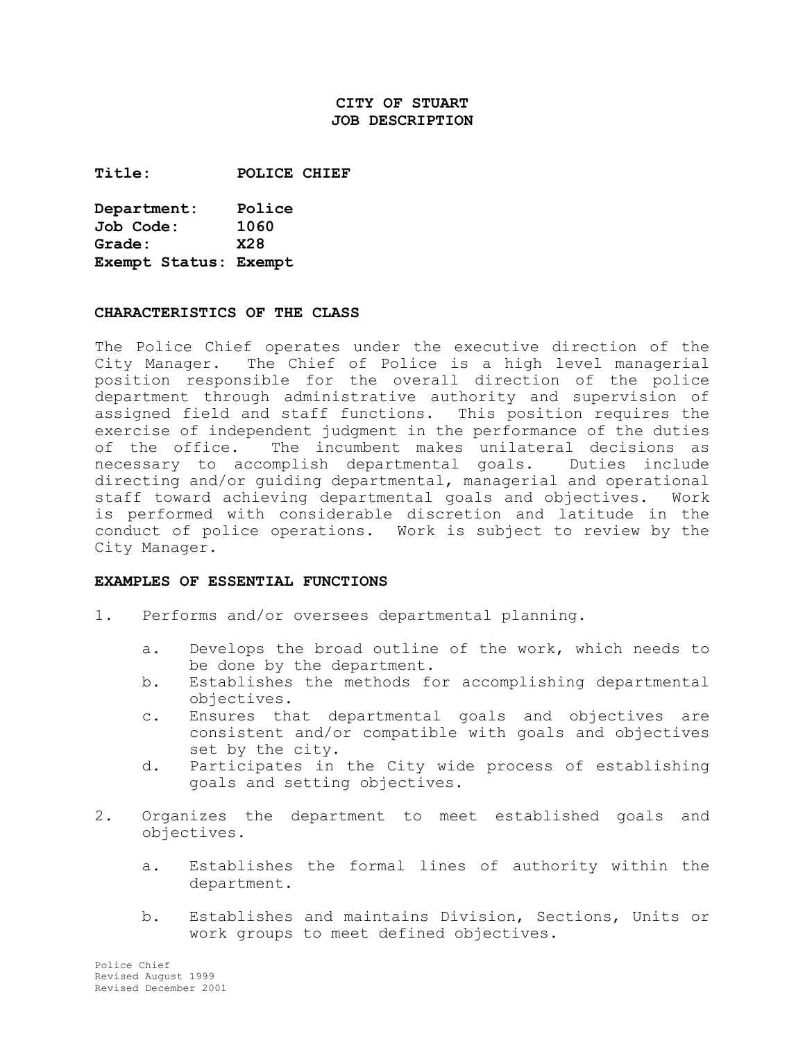## **CITY OF STUART JOB DESCRIPTION**

**Title: POLICE CHIEF** 

**Department: Police Job Code: 1060 Grade: X28 Exempt Status: Exempt** 

#### **CHARACTERISTICS OF THE CLASS**

The Police Chief operates under the executive direction of the City Manager. The Chief of Police is a high level managerial position responsible for the overall direction of the police department through administrative authority and supervision of assigned field and staff functions. This position requires the exercise of independent judgment in the performance of the duties of the office. The incumbent makes unilateral decisions as necessary to accomplish departmental goals. Duties include directing and/or guiding departmental, managerial and operational staff toward achieving departmental goals and objectives. Work is performed with considerable discretion and latitude in the conduct of police operations. Work is subject to review by the City Manager.

#### **EXAMPLES OF ESSENTIAL FUNCTIONS**

- 1. Performs and/or oversees departmental planning.
	- a. Develops the broad outline of the work, which needs to be done by the department.
	- b. Establishes the methods for accomplishing departmental objectives.
	- c. Ensures that departmental goals and objectives are consistent and/or compatible with goals and objectives set by the city.
	- d. Participates in the City wide process of establishing goals and setting objectives.
- 2. Organizes the department to meet established goals and objectives.
	- a. Establishes the formal lines of authority within the department.
	- b. Establishes and maintains Division, Sections, Units or work groups to meet defined objectives.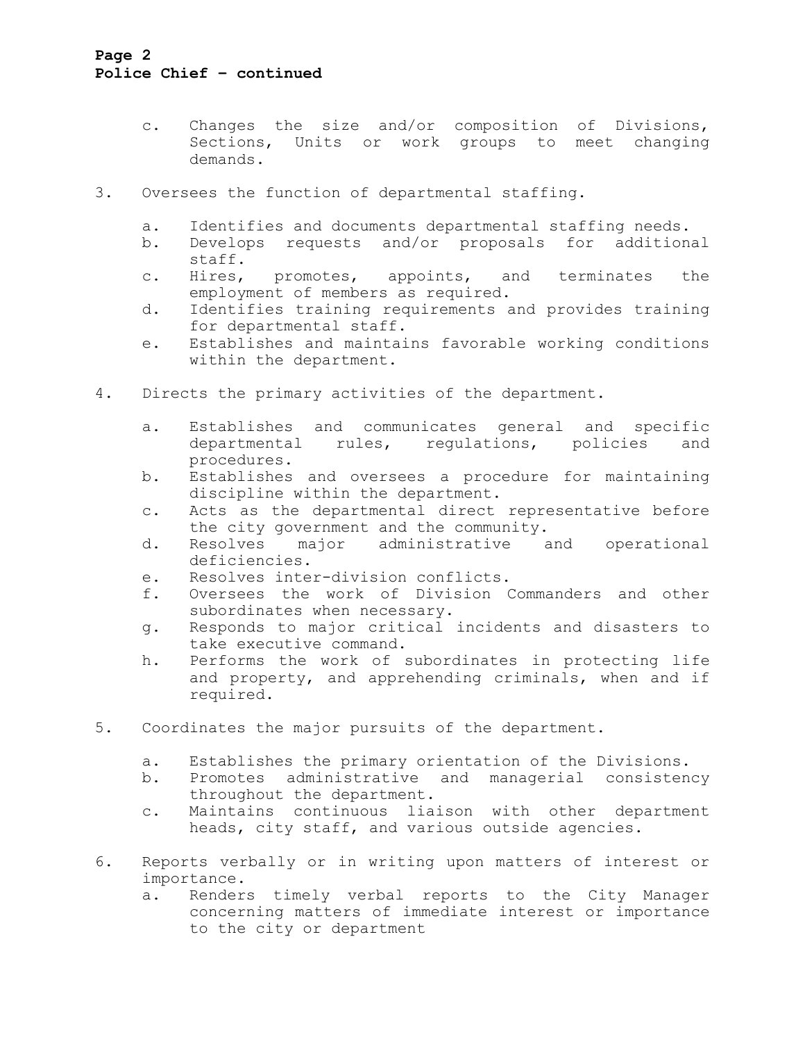## **Page 2 Police Chief – continued**

- c. Changes the size and/or composition of Divisions, Sections, Units or work groups to meet changing demands.
- 3. Oversees the function of departmental staffing.
	- a. Identifies and documents departmental staffing needs.
	- b. Develops requests and/or proposals for additional staff.
	- c. Hires, promotes, appoints, and terminates the employment of members as required.
	- d. Identifies training requirements and provides training for departmental staff.
	- e. Establishes and maintains favorable working conditions within the department.
- 4. Directs the primary activities of the department.
	- a. Establishes and communicates general and specific departmental rules, regulations, policies and procedures.
	- b. Establishes and oversees a procedure for maintaining discipline within the department.
	- c. Acts as the departmental direct representative before the city government and the community.
	- d. Resolves major administrative and operational deficiencies.
	- e. Resolves inter-division conflicts.
	- f. Oversees the work of Division Commanders and other subordinates when necessary.
	- g. Responds to major critical incidents and disasters to take executive command.
	- h. Performs the work of subordinates in protecting life and property, and apprehending criminals, when and if required.
- 5. Coordinates the major pursuits of the department.
	- a. Establishes the primary orientation of the Divisions.
	- b. Promotes administrative and managerial consistency throughout the department.
	- c. Maintains continuous liaison with other department heads, city staff, and various outside agencies.
- 6. Reports verbally or in writing upon matters of interest or importance.
	- a. Renders timely verbal reports to the City Manager concerning matters of immediate interest or importance to the city or department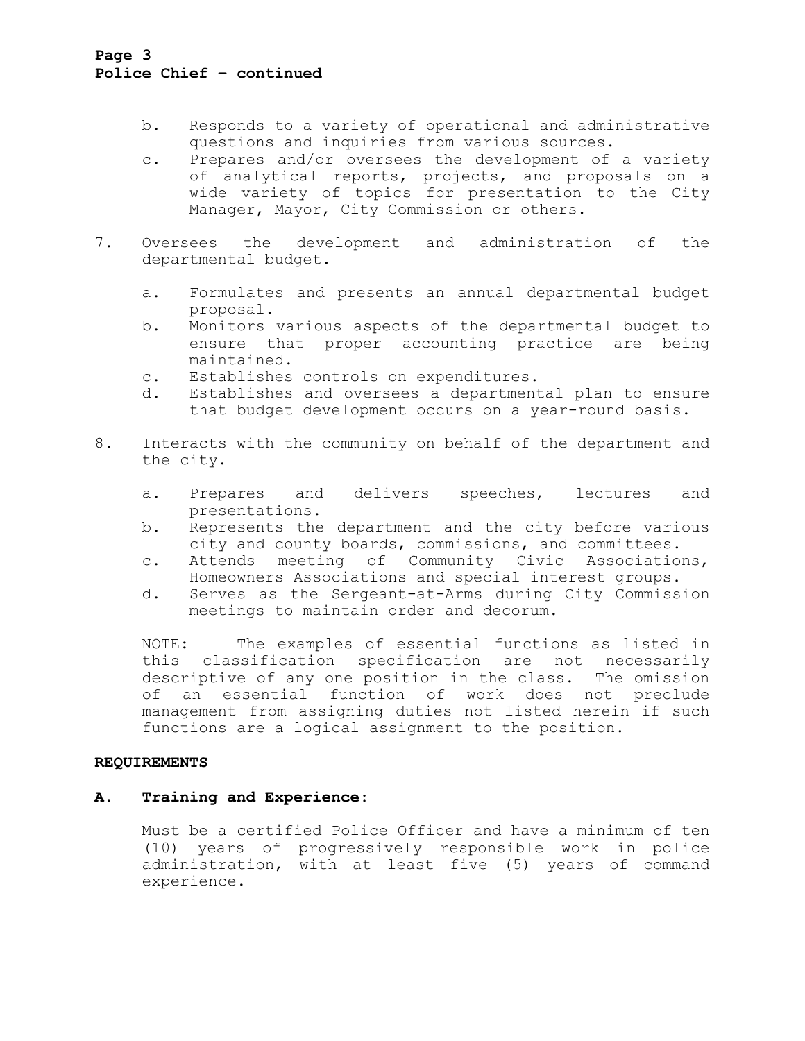## **Page 3 Police Chief – continued**

- b. Responds to a variety of operational and administrative questions and inquiries from various sources.
- c. Prepares and/or oversees the development of a variety of analytical reports, projects, and proposals on a wide variety of topics for presentation to the City Manager, Mayor, City Commission or others.
- 7. Oversees the development and administration of the departmental budget.
	- a. Formulates and presents an annual departmental budget proposal.
	- b. Monitors various aspects of the departmental budget to ensure that proper accounting practice are being maintained.
	- c. Establishes controls on expenditures.
	- d. Establishes and oversees a departmental plan to ensure that budget development occurs on a year-round basis.
- 8. Interacts with the community on behalf of the department and the city.
	- a. Prepares and delivers speeches, lectures and presentations.
	- b. Represents the department and the city before various city and county boards, commissions, and committees.
	- c. Attends meeting of Community Civic Associations, Homeowners Associations and special interest groups.
	- d. Serves as the Sergeant-at-Arms during City Commission meetings to maintain order and decorum.

NOTE: The examples of essential functions as listed in this classification specification are not necessarily descriptive of any one position in the class. The omission of an essential function of work does not preclude management from assigning duties not listed herein if such functions are a logical assignment to the position.

### **REQUIREMENTS**

## **A. Training and Experience:**

Must be a certified Police Officer and have a minimum of ten (10) years of progressively responsible work in police administration, with at least five (5) years of command experience.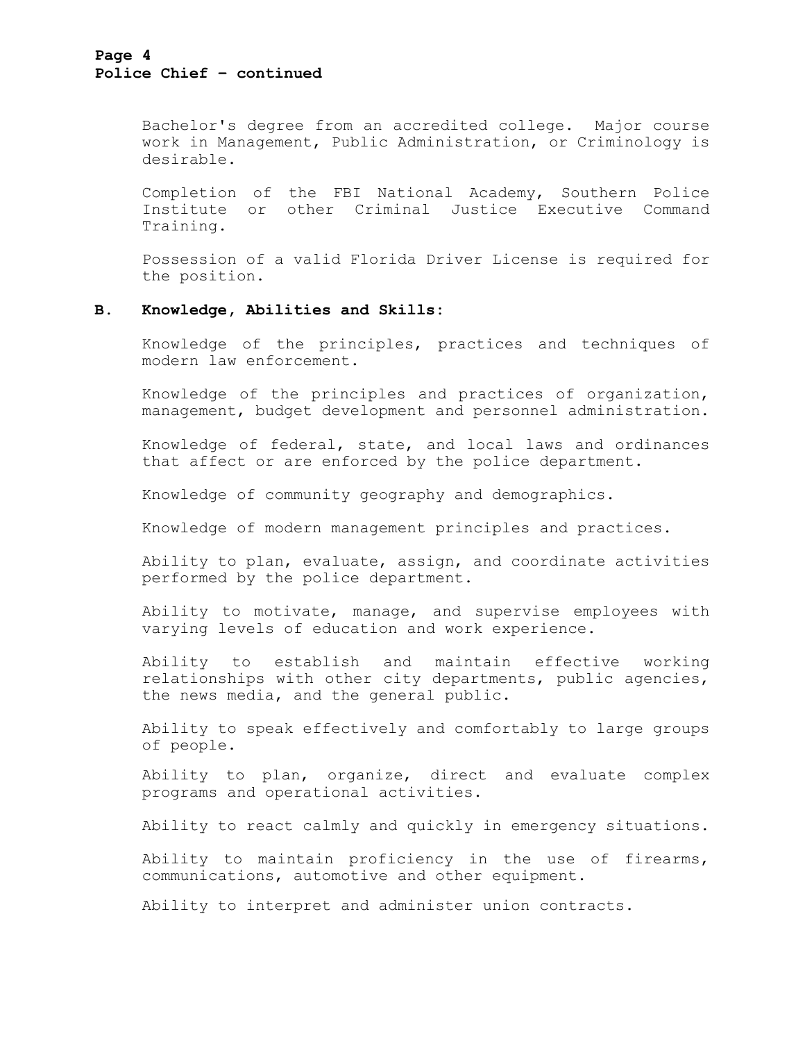#### **Page 4 Police Chief – continued**

Bachelor's degree from an accredited college. Major course work in Management, Public Administration, or Criminology is desirable.

Completion of the FBI National Academy, Southern Police Institute or other Criminal Justice Executive Command Training.

Possession of a valid Florida Driver License is required for the position.

#### **B. Knowledge, Abilities and Skills:**

Knowledge of the principles, practices and techniques of modern law enforcement.

Knowledge of the principles and practices of organization, management, budget development and personnel administration.

Knowledge of federal, state, and local laws and ordinances that affect or are enforced by the police department.

Knowledge of community geography and demographics.

Knowledge of modern management principles and practices.

Ability to plan, evaluate, assign, and coordinate activities performed by the police department.

Ability to motivate, manage, and supervise employees with varying levels of education and work experience.

Ability to establish and maintain effective working relationships with other city departments, public agencies, the news media, and the general public.

Ability to speak effectively and comfortably to large groups of people.

Ability to plan, organize, direct and evaluate complex programs and operational activities.

Ability to react calmly and quickly in emergency situations.

Ability to maintain proficiency in the use of firearms, communications, automotive and other equipment.

Ability to interpret and administer union contracts.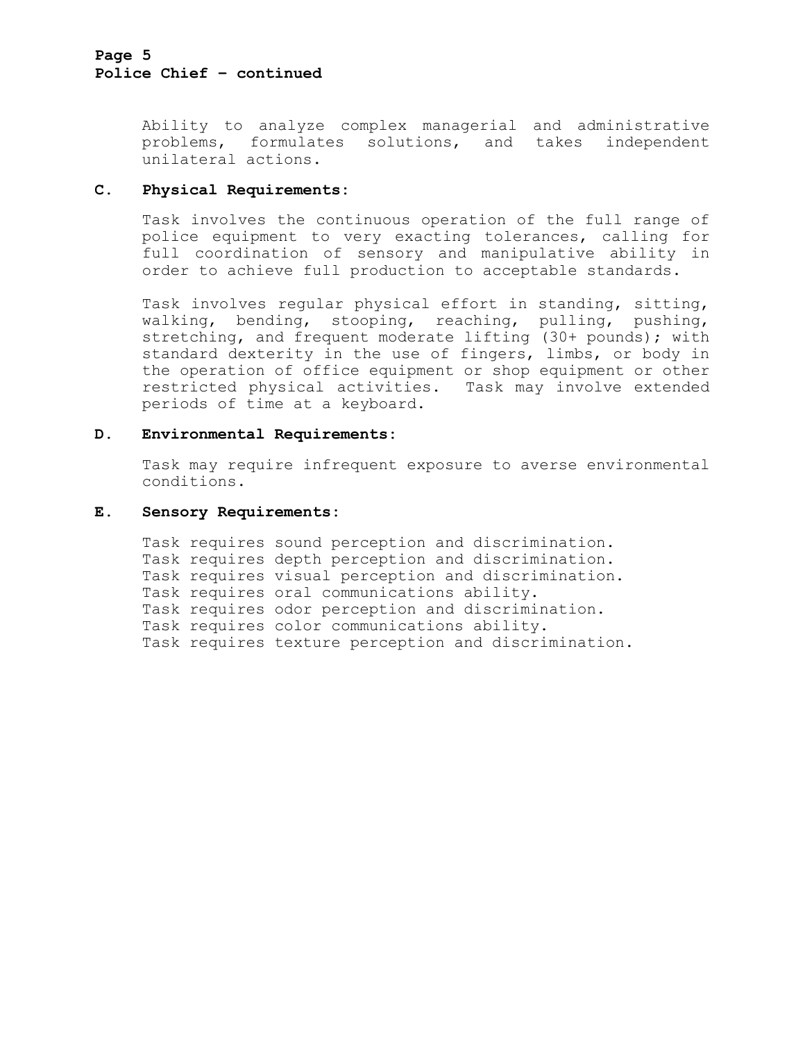### **Page 5 Police Chief – continued**

Ability to analyze complex managerial and administrative problems, formulates solutions, and takes independent unilateral actions.

### **C. Physical Requirements:**

Task involves the continuous operation of the full range of police equipment to very exacting tolerances, calling for full coordination of sensory and manipulative ability in order to achieve full production to acceptable standards.

Task involves regular physical effort in standing, sitting, walking, bending, stooping, reaching, pulling, pushing, stretching, and frequent moderate lifting (30+ pounds); with standard dexterity in the use of fingers, limbs, or body in the operation of office equipment or shop equipment or other restricted physical activities. Task may involve extended periods of time at a keyboard.

### **D. Environmental Requirements:**

Task may require infrequent exposure to averse environmental conditions.

#### **E. Sensory Requirements:**

```
Task requires sound perception and discrimination. 
Task requires depth perception and discrimination. 
Task requires visual perception and discrimination. 
Task requires oral communications ability. 
Task requires odor perception and discrimination. 
Task requires color communications ability. 
Task requires texture perception and discrimination.
```